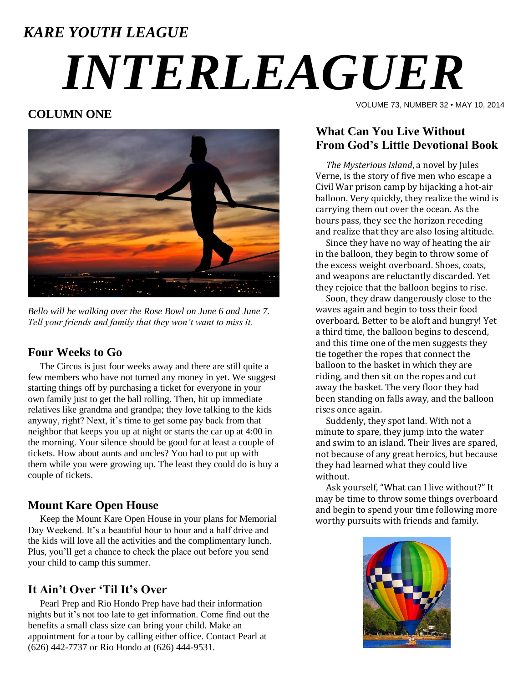# *KARE YOUTH LEAGUE INTERLEAGUER*

## **COLUMN ONE**



*Bello will be walking over the Rose Bowl on June 6 and June 7. Tell your friends and family that they won't want to miss it.*

### **Four Weeks to Go**

 The Circus is just four weeks away and there are still quite a few members who have not turned any money in yet. We suggest starting things off by purchasing a ticket for everyone in your own family just to get the ball rolling. Then, hit up immediate relatives like grandma and grandpa; they love talking to the kids anyway, right? Next, it's time to get some pay back from that neighbor that keeps you up at night or starts the car up at 4:00 in the morning. Your silence should be good for at least a couple of tickets. How about aunts and uncles? You had to put up with them while you were growing up. The least they could do is buy a couple of tickets.

# **Mount Kare Open House**

 Keep the Mount Kare Open House in your plans for Memorial Day Weekend. It's a beautiful hour to hour and a half drive and the kids will love all the activities and the complimentary lunch. Plus, you'll get a chance to check the place out before you send your child to camp this summer.

# **It Ain't Over 'Til It's Over**

 Pearl Prep and Rio Hondo Prep have had their information nights but it's not too late to get information. Come find out the benefits a small class size can bring your child. Make an appointment for a tour by calling either office. Contact Pearl at (626) 442-7737 or Rio Hondo at (626) 444-9531.

VOLUME 73, NUMBER 32 • MAY 10, 2014

# **What Can You Live Without From God's Little Devotional Book**

 *The Mysterious Island*, a novel by Jules Verne, is the story of five men who escape a Civil War prison camp by hijacking a hot-air balloon. Very quickly, they realize the wind is carrying them out over the ocean. As the hours pass, they see the horizon receding and realize that they are also losing altitude.

 Since they have no way of heating the air in the balloon, they begin to throw some of the excess weight overboard. Shoes, coats, and weapons are reluctantly discarded. Yet they rejoice that the balloon begins to rise.

 Soon, they draw dangerously close to the waves again and begin to toss their food overboard. Better to be aloft and hungry! Yet a third time, the balloon begins to descend, and this time one of the men suggests they tie together the ropes that connect the balloon to the basket in which they are riding, and then sit on the ropes and cut away the basket. The very floor they had been standing on falls away, and the balloon rises once again.

 Suddenly, they spot land. With not a minute to spare, they jump into the water and swim to an island. Their lives are spared, not because of any great heroics, but because they had learned what they could live without.

 Ask yourself, "What can I live without?" It may be time to throw some things overboard and begin to spend your time following more worthy pursuits with friends and family.